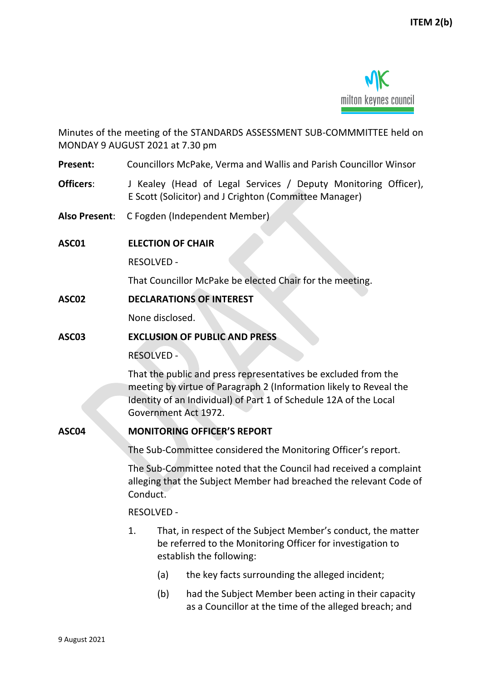

Minutes of the meeting of the STANDARDS ASSESSMENT SUB-COMMMITTEE held on MONDAY 9 AUGUST 2021 at 7.30 pm

**Present:** Councillors McPake, Verma and Wallis and Parish Councillor Winsor

**Officers:** J Kealey (Head of Legal Services / Deputy Monitoring Officer), E Scott (Solicitor) and J Crighton (Committee Manager)

**Also Present**: C Fogden (Independent Member)

**ASC01 ELECTION OF CHAIR**

RESOLVED -

That Councillor McPake be elected Chair for the meeting.

**ASC02 DECLARATIONS OF INTEREST**

None disclosed.

## **ASC03 EXCLUSION OF PUBLIC AND PRESS**

RESOLVED -

That the public and press representatives be excluded from the meeting by virtue of Paragraph 2 (Information likely to Reveal the Identity of an Individual) of Part 1 of Schedule 12A of the Local Government Act 1972.

## **ASC04 MONITORING OFFICER'S REPORT**

The Sub-Committee considered the Monitoring Officer's report.

The Sub-Committee noted that the Council had received a complaint alleging that the Subject Member had breached the relevant Code of Conduct.

RESOLVED -

- 1. That, in respect of the Subject Member's conduct, the matter be referred to the Monitoring Officer for investigation to establish the following:
	- (a) the key facts surrounding the alleged incident;
	- (b) had the Subject Member been acting in their capacity as a Councillor at the time of the alleged breach; and